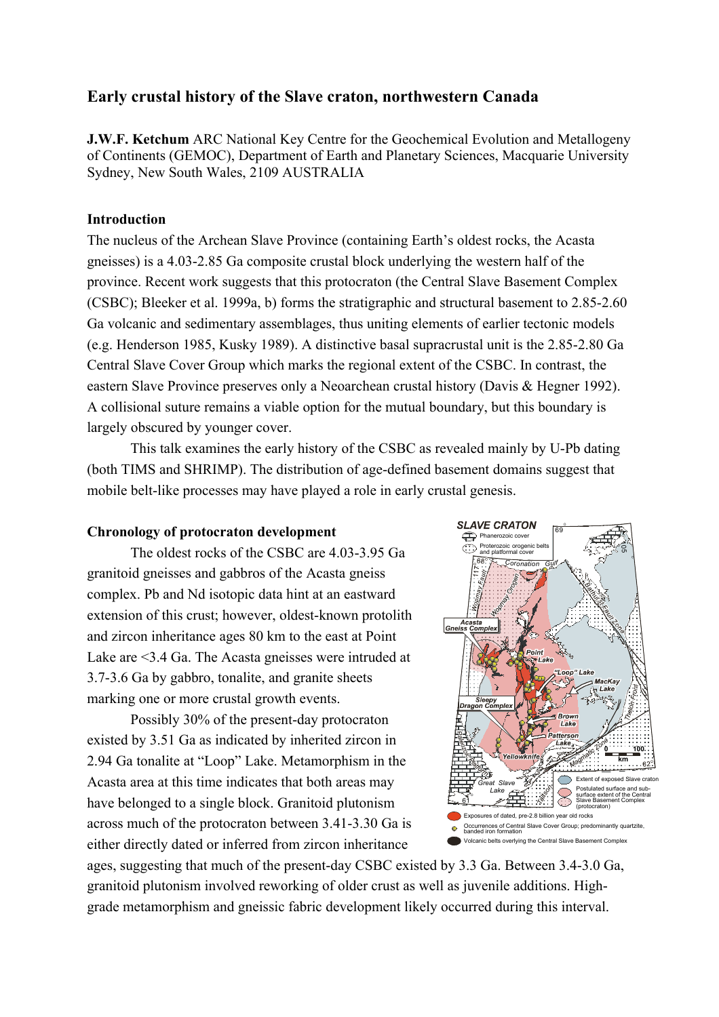# **Early crustal history of the Slave craton, northwestern Canada**

**J.W.F. Ketchum** ARC National Key Centre for the Geochemical Evolution and Metallogeny of Continents (GEMOC), Department of Earth and Planetary Sciences, Macquarie University Sydney, New South Wales, 2109 AUSTRALIA

## **Introduction**

The nucleus of the Archean Slave Province (containing Earth's oldest rocks, the Acasta gneisses) is a 4.03-2.85 Ga composite crustal block underlying the western half of the province. Recent work suggests that this protocraton (the Central Slave Basement Complex (CSBC); Bleeker et al. 1999a, b) forms the stratigraphic and structural basement to 2.85-2.60 Ga volcanic and sedimentary assemblages, thus uniting elements of earlier tectonic models (e.g. Henderson 1985, Kusky 1989). A distinctive basal supracrustal unit is the 2.85-2.80 Ga Central Slave Cover Group which marks the regional extent of the CSBC. In contrast, the eastern Slave Province preserves only a Neoarchean crustal history (Davis & Hegner 1992). A collisional suture remains a viable option for the mutual boundary, but this boundary is largely obscured by younger cover.

This talk examines the early history of the CSBC as revealed mainly by U-Pb dating (both TIMS and SHRIMP). The distribution of age-defined basement domains suggest that mobile belt-like processes may have played a role in early crustal genesis.

## **Chronology of protocraton development**

The oldest rocks of the CSBC are 4.03-3.95 Ga granitoid gneisses and gabbros of the Acasta gneiss complex. Pb and Nd isotopic data hint at an eastward extension of this crust; however, oldest-known protolith and zircon inheritance ages 80 km to the east at Point Lake are <3.4 Ga. The Acasta gneisses were intruded at 3.7-3.6 Ga by gabbro, tonalite, and granite sheets marking one or more crustal growth events.

Possibly 30% of the present-day protocraton existed by 3.51 Ga as indicated by inherited zircon in 2.94 Ga tonalite at "Loop" Lake. Metamorphism in the Acasta area at this time indicates that both areas may have belonged to a single block. Granitoid plutonism across much of the protocraton between 3.41-3.30 Ga is either directly dated or inferred from zircon inheritance



ages, suggesting that much of the present-day CSBC existed by 3.3 Ga. Between 3.4-3.0 Ga, granitoid plutonism involved reworking of older crust as well as juvenile additions. Highgrade metamorphism and gneissic fabric development likely occurred during this interval.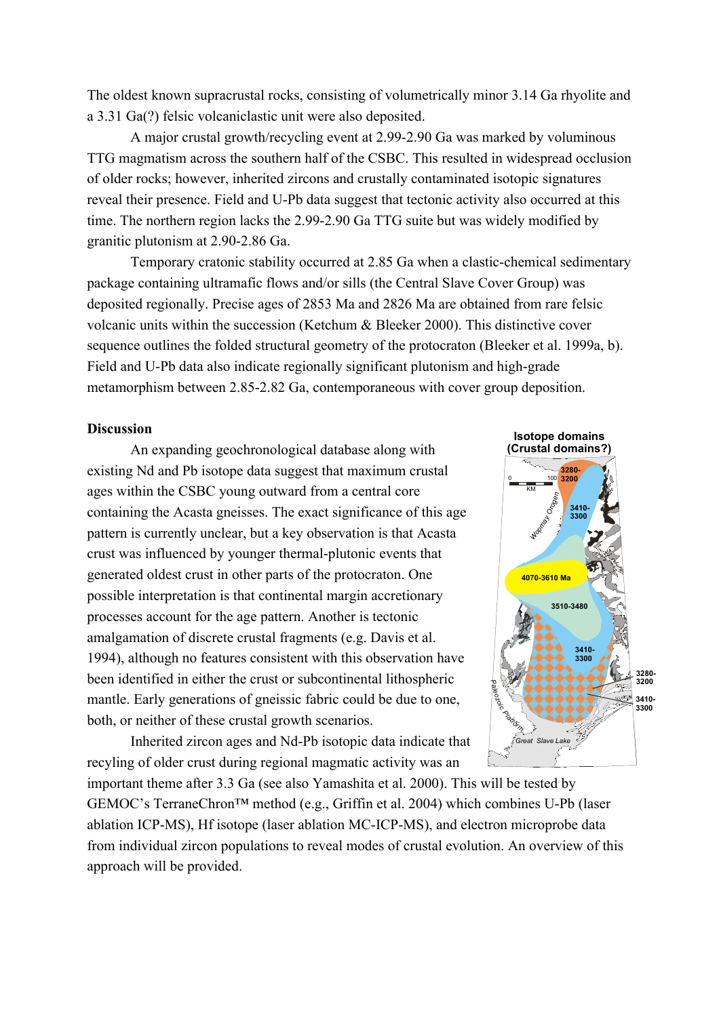The oldest known supracrustal rocks, consisting of volumetrically minor 3.14 Ga rhyolite and a 3.31 Ga(?) felsic volcaniclastic unit were also deposited.

A major crustal growth/recycling event at 2.99-2.90 Ga was marked by voluminous TTG magmatism across the southern half of the CSBC. This resulted in widespread occlusion of older rocks; however, inherited zircons and crustally contaminated isotopic signatures reveal their presence. Field and U-Pb data suggest that tectonic activity also occurred at this time. The northern region lacks the 2.99-2.90 Ga TTG suite but was widely modified by granitic plutonism at 2.90-2.86 Ga.

Temporary cratonic stability occurred at 2.85 Ga when a clastic-chemical sedimentary package containing ultramafic flows and/or sills (the Central Slave Cover Group) was deposited regionally. Precise ages of 2853 Ma and 2826 Ma are obtained from rare felsic volcanic units within the succession (Ketchum & Bleeker 2000). This distinctive cover sequence outlines the folded structural geometry of the protocraton (Bleeker et al. 1999a, b). Field and U-Pb data also indicate regionally significant plutonism and high-grade metamorphism between 2.85-2.82 Ga, contemporaneous with cover group deposition.

## **Discussion**

An expanding geochronological database along with existing Nd and Pb isotope data suggest that maximum crustal ages within the CSBC young outward from a central core containing the Acasta gneisses. The exact significance of this age pattern is currently unclear, but a key observation is that Acasta crust was influenced by younger thermal-plutonic events that generated oldest crust in other parts of the protocraton. One possible interpretation is that continental margin accretionary processes account for the age pattern. Another is tectonic amalgamation of discrete crustal fragments (e.g. Davis et al. 1994), although no features consistent with this observation have been identified in either the crust or subcontinental lithospheric mantle. Early generations of gneissic fabric could be due to one, both, or neither of these crustal growth scenarios.

Inherited zircon ages and Nd-Pb isotopic data indicate that recyling of older crust during regional magmatic activity was an



important theme after 3.3 Ga (see also Yamashita et al. 2000). This will be tested by GEMOC's TerraneChron™ method (e.g., Griffin et al. 2004) which combines U-Pb (laser ablation ICP-MS), Hf isotope (laser ablation MC-ICP-MS), and electron microprobe data from individual zircon populations to reveal modes of crustal evolution. An overview of this approach will be provided.